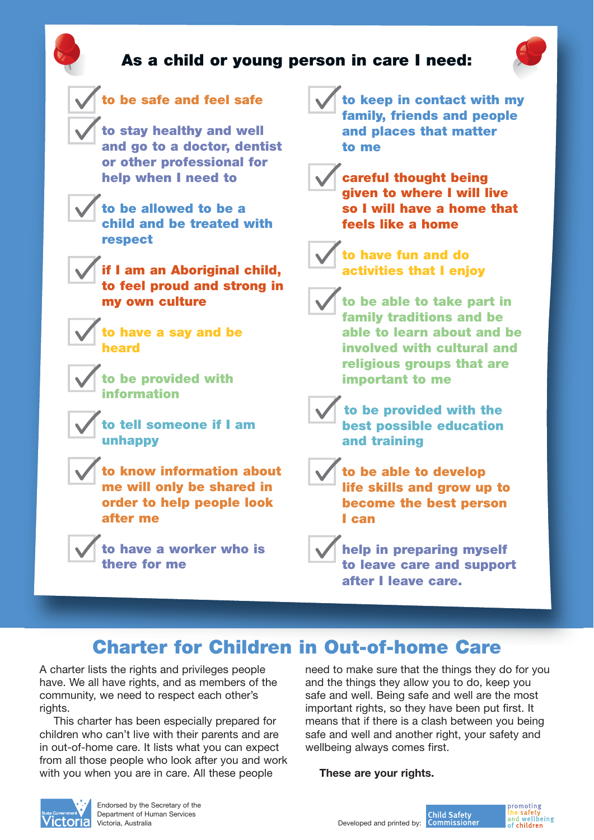



## **Charter for Children in Out-of-home Care**

A charter lists the rights and privileges people have. We all have rights, and as members of the community, we need to respect each other's rights.

This charter has been especially prepared for children who can't live with their parents and are in out-of-home care. It lists what you can expect from all those people who look after you and work with you when you are in care. All these people

need to make sure that the things they do for you and the things they allow you to do, keep you safe and well. Being safe and well are the most important rights, so they have been put first. It means that if there is a clash between you being safe and well and another right, your safety and wellbeing always comes first.

**These are your rights.**



Endorsed by the Secretary of the late Government V Department of Human Services

**Child Safety**<br>Developed and printed by: **Commissioner**